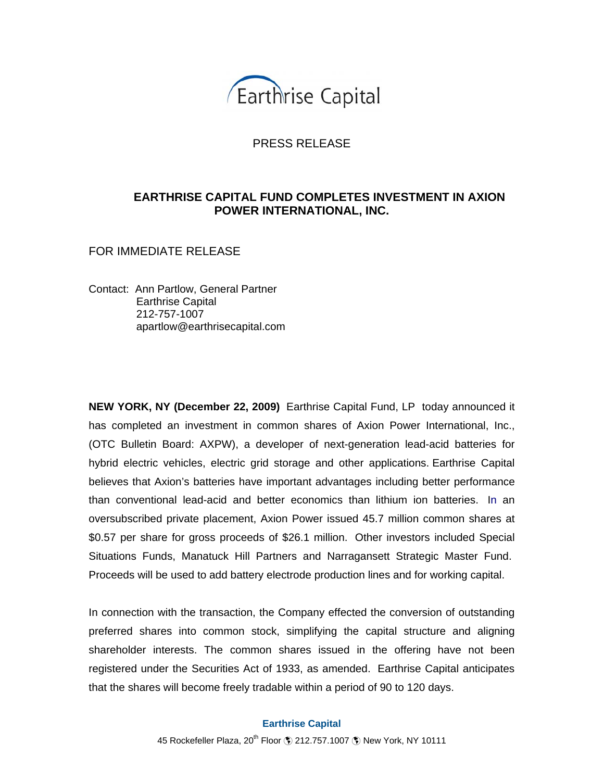

## PRESS RELEASE

## **EARTHRISE CAPITAL FUND COMPLETES INVESTMENT IN AXION POWER INTERNATIONAL, INC.**

FOR IMMEDIATE RELEASE

Contact: Ann Partlow, General Partner Earthrise Capital 212-757-1007 apartlow@earthrisecapital.com

**NEW YORK, NY (December 22, 2009)** Earthrise Capital Fund, LP today announced it has completed an investment in common shares of Axion Power International, Inc., (OTC Bulletin Board: AXPW), a developer of next-generation lead-acid batteries for hybrid electric vehicles, electric grid storage and other applications. Earthrise Capital believes that Axion's batteries have important advantages including better performance than conventional lead-acid and better economics than lithium ion batteries. In an oversubscribed private placement, Axion Power issued 45.7 million common shares at \$0.57 per share for gross proceeds of \$26.1 million. Other investors included Special Situations Funds, Manatuck Hill Partners and Narragansett Strategic Master Fund. Proceeds will be used to add battery electrode production lines and for working capital.

In connection with the transaction, the Company effected the conversion of outstanding preferred shares into common stock, simplifying the capital structure and aligning shareholder interests. The common shares issued in the offering have not been registered under the Securities Act of 1933, as amended. Earthrise Capital anticipates that the shares will become freely tradable within a period of 90 to 120 days.